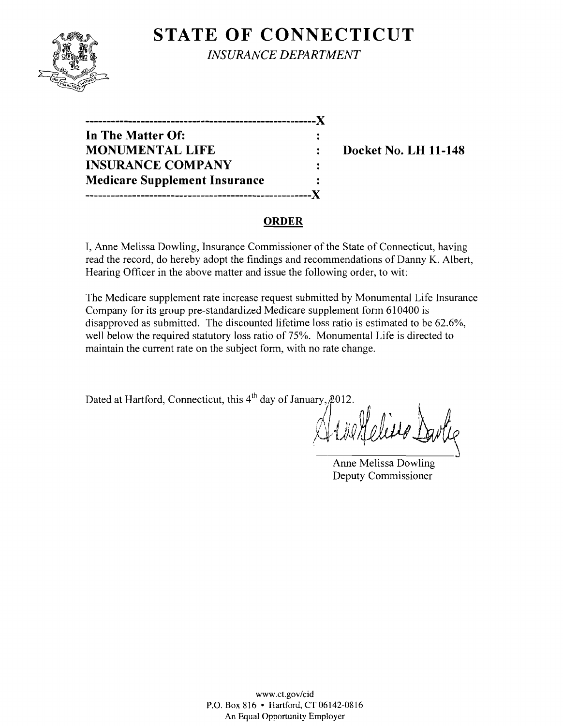# **STATE OF CONNECTICUT**



*INSURANCE DEPARTMENT* 

| ---------------                      |  |
|--------------------------------------|--|
| In The Matter Of:                    |  |
| <b>MONUMENTAL LIFE</b>               |  |
| <b>INSURANCE COMPANY</b>             |  |
| <b>Medicare Supplement Insurance</b> |  |
|                                      |  |

**Docket No. LH 11-148** 

#### **ORDER**

I, Anne Melissa Dowling, Insurance Commissioner of the State of Connecticut, having read the record, do hereby adopt the findings and recommendations of Danny K. Albert, Hearing Officer in the above matter and issue the following order, to wit:

The Medicare supplement rate increase request submitted by Monumental Life Insurance Company for its group pre-standardized Medicare supplement form 610400 is disapproved as submitted. The discounted lifetime loss ratio is estimated to be 62.6%, well below the required statutory loss ratio of 75%. Monumental Life is directed to maintain the current rate on the subject form, with no rate change.

Dated at Hartford, Connecticut, this  $4<sup>th</sup>$  day of January,  $2012$ .

A Metalesis Davie

Anne Melissa Dowling Deputy Commissioner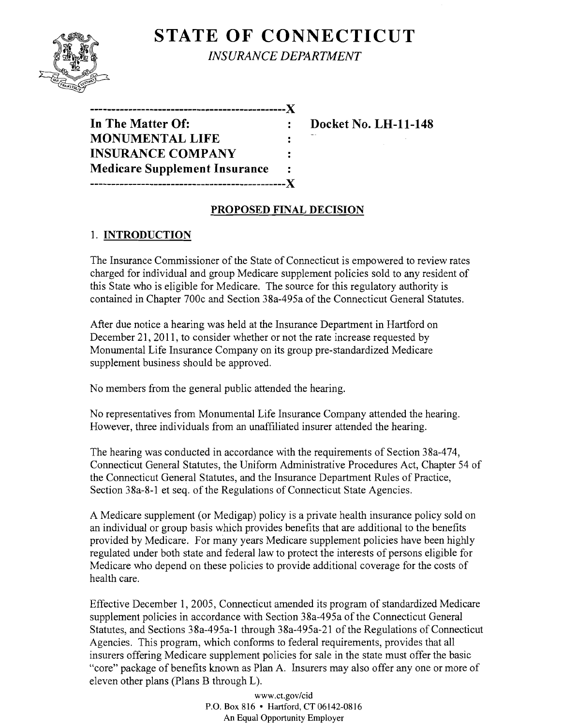## **STATE OF CONNECTICUT** *INSURANCE DEPARTMENT*

| In The Matter Of:                    |    |
|--------------------------------------|----|
| <b>MONUMENTAL LIFE</b>               | ٠. |
| <b>INSURANCE COMPANY</b>             | ÷  |
| <b>Medicare Supplement Insurance</b> | ٠  |
| -------------------------            |    |

**Docket No. LH-11-148** 

### **PROPOSED FINAL DECISION**

#### 1. **INTRODUCTION**

The Insurance Commissioner of the State of Connecticut is empowered to review rates charged for individual and group Medicare supplement policies sold to any resident of this State who is eligible for Medicare. The source for this regulatory authority is contained in Chapter 700c and Section 38a-495a of the Connecticut General Statutes.

After due notice a hearing was held at the Insurance Department in Hartford on December 21, 2011, to consider whether or not the rate increase requested by Monumental Life Insurance Company on its group pre-standardized Medicare supplement business should be approved.

No members from the general public attended the hearing.

No representatives from Monumental Life Insurance Company attended the hearing. However, three individuals from an unaffiliated insurer attended the hearing.

The hearing was conducted in accordance with the requirements of Section 38a-474, Connecticut General Statutes, the Uniform Administrative Procedures Act, Chapter 54 of the Connecticut General Statutes, and the Insurance Department Rules of Practice, Section 38a-8-1 et seq. of the Regulations of Connecticut State Agencies.

A Medicare supplement (or Medigap) policy is a private health insurance policy sold on an individual or group basis which provides benefits that are additional to the benefits provided by Medicare. For many years Medicare supplement policies have been highly regulated under both state and federal law to protect the interests of persons eligible for Medicare who depend on these policies to provide additional coverage for the costs of health care.

Effective December 1, 2005, Connecticut amended its program of standardized Medicare supplement policies in accordance with Section 38a-495a of the Connecticut General Statutes, and Sections 38a-495a-1 through 38a-495a-21 of the Regulations of Connecticut Agencies. This program, which conforms to federal requirements, provides that all insurers offering Medicare supplement policies for sale in the state must offer the basic "core" package of benefits known as Plan A. Insurers may also offer anyone or more of eleven other plans (Plans B through L).

> www.ct.gov/cid P.O. Box 816 • Hartford, CT 06142-0816 An Equal Opportunity Employer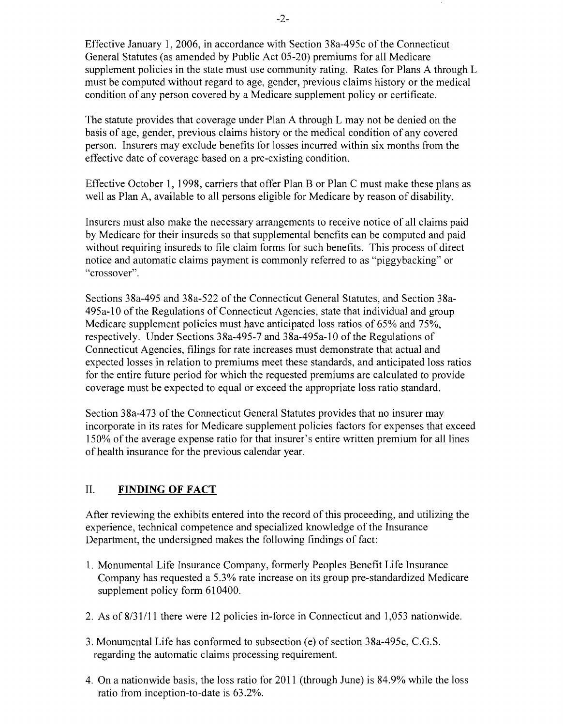Effective January 1, 2006, in accordance with Section 38a-495c of the Connecticut General Statutes (as amended by Public Act 05-20) premiums for all Medicare supplement policies in the state must use community rating. Rates for Plans A through L must be computed without regard to age, gender, previous claims history or the medical condition of any person covered by a Medicare supplement policy or certificate.

The statute provides that coverage under Plan A through L may not be denied on the basis of age, gender, previous claims history or the medical condition of any covered person. Insurers may exclude benefits for losses incurred within six months from the effective date of coverage based on a pre-existing condition.

Effective October 1, 1998, carriers that offer Plan B or Plan C must make these plans as well as Plan A, available to all persons eligible for Medicare by reason of disability.

Insurers must also make the necessary arrangements to receive notice of all claims paid by Medicare for their insureds so that supplemental benefits can be computed and paid without requiring insureds to file claim forms for such benefits. This process of direct notice and automatic claims payment is commonly referred to as "piggybacking" or "crossover".

Sections 38a-495 and 38a-522 of the Connecticut General Statutes, and Section 38a-495a-l0 of the Regulations of Connecticut Agencies, state that individual and group Medicare supplement policies must have anticipated loss ratios of 65% and 75%, respectively. Under Sections 38a-495-7 and 38a-495a-l 0 of the Regulations of Connecticut Agencies, filings for rate increases must demonstrate that actual and expected losses in relation to premiums meet these standards, and anticipated loss ratios for the entire future period for which the requested premiums are calculated to provide coverage must be expected to equal or exceed the appropriate loss ratio standard.

Section 38a-473 of the Connecticut General Statutes provides that no insurer may incorporate in its rates for Medicare supplement policies factors for expenses that exceed 150% of the average expense ratio for that insurer's entire written premium for all lines of health insurance for the previous calendar year.

#### II. **FINDING OF FACT**

After reviewing the exhibits entered into the record of this proceeding, and utilizing the experience, technical competence and specialized knowledge of the Insurance Department, the undersigned makes the following findings of fact:

- 1. Monumental Life Insurance Company, formerly Peoples Benefit Life Insurance Company has requested a 5.3% rate increase on its group pre-standardized Medicare supplement policy form 610400.
- 2. As of 8/31/11 there were 12 policies in-force in Connecticut and 1,053 nationwide.
- 3. Monumental Life has conformed to subsection (e) of section 38a-495c, C.G.S. regarding the automatic claims processing requirement.
- 4. On a nationwide basis, the loss ratio for 2011 (through June) is 84.9% while the loss ratio from inception-to-date is 63.2%.